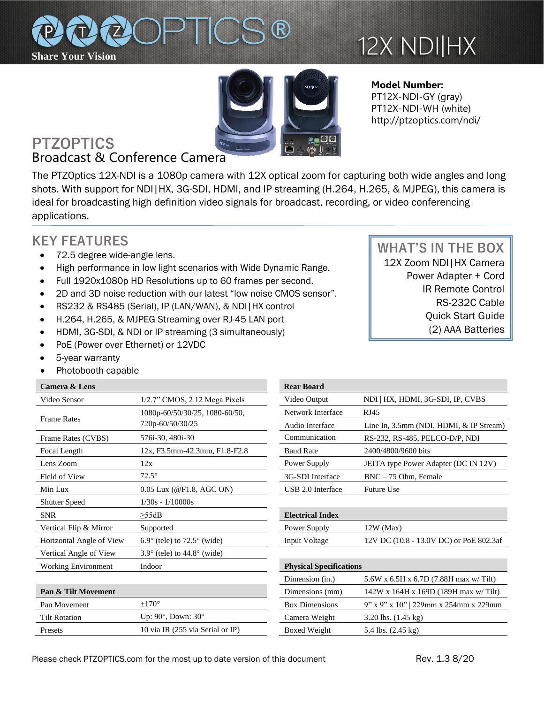

# 12X NDI|HX



**Model Number:**  PT12X-NDI-GY (gray) PT12X-NDI-WH (white) http://ptzoptics.com/ndi/

## **PTZOPTICS** Broadcast & Conference Camera

The PTZOptics 12X-NDI is a 1080p camera with 12X optical zoom for capturing both wide angles and long shots. With support for NDI|HX, 3G-SDI, HDMI, and IP streaming (H.264, H.265, & MJPEG), this camera is ideal for broadcasting high definition video signals for broadcast, recording, or video conferencing applications.

## **KEY FEATURES**

- 72.5 degree wide-angle lens.
- High performance in low light scenarios with Wide Dynamic Range.
- Full 1920x1080p HD Resolutions up to 60 frames per second.
- 2D and 3D noise reduction with our latest "low noise CMOS sensor".
- RS232 & RS485 (Serial), IP (LAN/WAN), & NDI|HX control
- H.264, H.265, & MJPEG Streaming over RJ-45 LAN port
- HDMI, 3G-SDI, & NDI or IP streaming (3 simultaneously)
- PoE (Power over Ethernet) or 12VDC
- 5-year warranty
- Photobooth capable

### **Camera & Lens** Video Sensor 1/2.7" CMOS, 2.12 Mega Pixels Frame Rates 1080p-60/50/30/25, 1080-60/50, 720p-60/50/30/25 Frame Rates (CVBS) 576i-30, 480i-30 Focal Length  $12x$ , F3.5mm-42.3mm, F1.8-F2.8 Lens Zoom  $12x$ Field of View  $72.5^{\circ}$  72.5° 3G-SDI Interface BNC – 75 Ohm, Female Min Lux  $0.05$  Lux (@F1.8, AGC ON) Shutter Speed 1/30s - 1/10000s SNR ≥55dB **Electrical Index** Vertical Flip & Mirror Supported Horizontal Angle of View  $6.9^\circ$  (tele) to  $72.5^\circ$  (wide) Vertical Angle of View 3.9° (tele) to 44.8° (wide) Working Environment Indoor **Physical Specifications Pan & Tilt Movement** Dimensions (mm) 142W x 164H x 169D (189H max w/ Tilt) Tilt Rotation Up: 90°, Down: 30° Camera Weight 3.20 lbs. (1.45 kg)

| <b>Rear Board</b> |                                               |
|-------------------|-----------------------------------------------|
| Video Output      | NDI   HX, HDMI, 3G-SDI, IP, CVBS              |
| Network Interface | RJ45                                          |
| Audio Interface   | Line In, $3.5$ mm (NDI, HDMI, $\&$ IP Stream) |
| Communication     | RS-232, RS-485, PELCO-D/P, NDI                |
| <b>Baud Rate</b>  | 2400/4800/9600 bits                           |
| Power Supply      | <b>JEITA</b> type Power Adapter (DC IN 12V)   |
| 3G-SDI Interface  | $BNC - 75$ Ohm, Female                        |
| USB 2.0 Interface | <b>Future Use</b>                             |
|                   |                                               |

| <b>Electrical Index</b> |                                         |
|-------------------------|-----------------------------------------|
| Power Supply            | $12W$ (Max)                             |
| Input Voltage           | 12V DC (10.8 - 13.0V DC) or PoE 802.3af |

## Dimension (in.) 5.6W x 6.5H x 6.7D (7.88H max w/ Tilt) Pan Movement  $\pm 170^\circ$  Box Dimensions 9" x 9" x 10" | 229mm x 254mm x 229mm Presets 10 via IR (255 via Serial or IP) Boxed Weight 5.4 lbs. (2.45 kg)

 **WHAT'S IN THE BOX** 12X Zoom NDI|HX Camera Power Adapter + Cord IR Remote Control RS-232C Cable Quick Start Guide (2) AAA Batteries